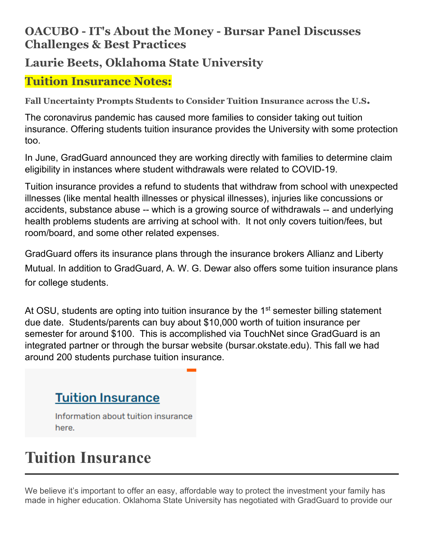### **OACUBO - IT's About the Money - Bursar Panel Discusses Challenges & Best Practices**

## **Laurie Beets, Oklahoma State University**

### **Tuition Insurance Notes:**

**Fall Uncertainty Prompts Students to Consider Tuition Insurance across the U.S.**

The coronavirus pandemic has caused more families to consider taking out tuition insurance. Offering students tuition insurance provides the University with some protection too.

In June, GradGuard announced they are working directly with families to determine claim eligibility in instances where student withdrawals were related to COVID-19.

Tuition insurance provides a refund to students that withdraw from school with unexpected illnesses (like mental health illnesses or physical illnesses), injuries like concussions or accidents, substance abuse -- which is a growing source of withdrawals -- and underlying health problems students are arriving at school with. It not only covers tuition/fees, but room/board, and some other related expenses.

GradGuard offers its insurance plans through the insurance brokers Allianz and Liberty Mutual. In addition to GradGuard, A. W. G. Dewar also offers some tuition insurance plans for college students.

At OSU, students are opting into tuition insurance by the 1<sup>st</sup> semester billing statement due date. Students/parents can buy about \$10,000 worth of tuition insurance per semester for around \$100. This is accomplished via TouchNet since GradGuard is an integrated partner or through the bursar website (bursar.okstate.edu). This fall we had around 200 students purchase tuition insurance.

# **Tuition Insurance**

Information about tuition insurance here.

# **Tuition Insurance**

We believe it's important to offer an easy, affordable way to protect the investment your family has made in higher education. Oklahoma State University has negotiated with GradGuard to provide our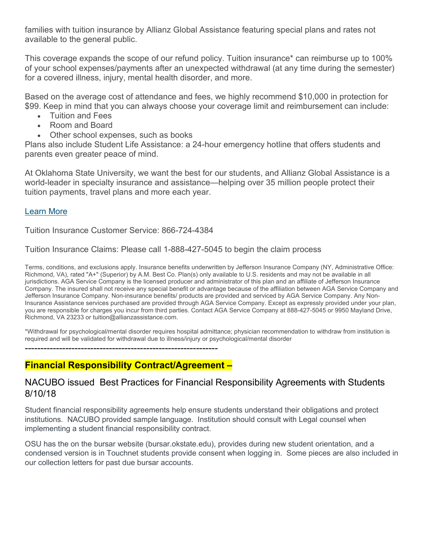families with tuition insurance by Allianz Global Assistance featuring special plans and rates not available to the general public.

This coverage expands the scope of our refund policy. Tuition insurance\* can reimburse up to 100% of your school expenses/payments after an unexpected withdrawal (at any time during the semester) for a covered illness, injury, mental health disorder, and more.

Based on the average cost of attendance and fees, we highly recommend \$10,000 in protection for \$99. Keep in mind that you can always choose your coverage limit and reimbursement can include:

- Tuition and Fees
- Room and Board
- Other school expenses, such as books

Plans also include Student Life Assistance: a 24-hour emergency hotline that offers students and parents even greater peace of mind.

At Oklahoma State University, we want the best for our students, and Allianz Global Assistance is a world-leader in specialty insurance and assistance—helping over 35 million people protect their tuition payments, travel plans and more each year.

#### [Learn More](http://www.gradguard.com/tuition/okstate)

Tuition Insurance Customer Service: 866-724-4384

Tuition Insurance Claims: Please call 1-888-427-5045 to begin the claim process

Terms, conditions, and exclusions apply. Insurance benefits underwritten by Jefferson Insurance Company (NY, Administrative Office: Richmond, VA), rated "A+" (Superior) by A.M. Best Co. Plan(s) only available to U.S. residents and may not be available in all jurisdictions. AGA Service Company is the licensed producer and administrator of this plan and an affiliate of Jefferson Insurance Company. The insured shall not receive any special benefit or advantage because of the affiliation between AGA Service Company and Jefferson Insurance Company. Non-insurance benefits/ products are provided and serviced by AGA Service Company. Any Non-Insurance Assistance services purchased are provided through AGA Service Company. Except as expressly provided under your plan, you are responsible for charges you incur from third parties. Contact AGA Service Company at 888-427-5045 or 9950 Mayland Drive, Richmond, VA 23233 or tuition@allianzassistance.com.

\*Withdrawal for psychological/mental disorder requires hospital admittance; physician recommendation to withdraw from institution is required and will be validated for withdrawal due to illness/injury or psychological/mental disorder

--------------------------------------------------------------

#### **Financial Responsibility Contract/Agreement –**

#### NACUBO issued Best Practices for Financial Responsibility Agreements with Students 8/10/18

Student financial responsibility agreements help ensure students understand their obligations and protect institutions. NACUBO provided sample language. Institution should consult with Legal counsel when implementing a student financial responsibility contract.

OSU has the on the bursar website (bursar.okstate.edu), provides during new student orientation, and a condensed version is in Touchnet students provide consent when logging in. Some pieces are also included in our collection letters for past due bursar accounts.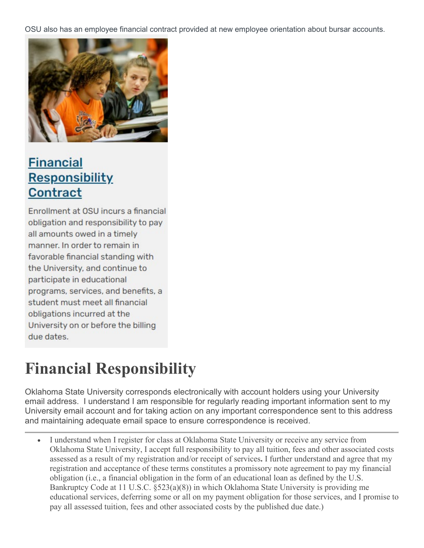OSU also has an employee financial contract provided at new employee orientation about bursar accounts.



## **Financial Responsibility Contract**

Enrollment at OSU incurs a financial obligation and responsibility to pay all amounts owed in a timely manner. In order to remain in favorable financial standing with the University, and continue to participate in educational programs, services, and benefits, a student must meet all financial obligations incurred at the University on or before the billing due dates.

# **Financial Responsibility**

Oklahoma State University corresponds electronically with account holders using your University email address. I understand I am responsible for regularly reading important information sent to my University email account and for taking action on any important correspondence sent to this address and maintaining adequate email space to ensure correspondence is received.

• I understand when I register for class at Oklahoma State University or receive any service from Oklahoma State University, I accept full responsibility to pay all tuition, fees and other associated costs assessed as a result of my registration and/or receipt of services**.** I further understand and agree that my registration and acceptance of these terms constitutes a promissory note agreement to pay my financial obligation (i.e., a financial obligation in the form of an educational loan as defined by the U.S. Bankruptcy Code at 11 U.S.C. §523(a)(8)) in which Oklahoma State University is providing me educational services, deferring some or all on my payment obligation for those services, and I promise to pay all assessed tuition, fees and other associated costs by the published due date.)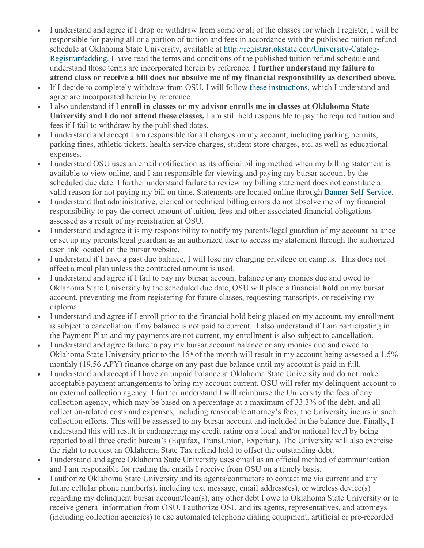- I understand and agree if I drop or withdraw from some or all of the classes for which I register, I will be responsible for paying all or a portion of tuition and fees in accordance with the published tuition refund schedule at Oklahoma State University, available at [http://registrar.okstate.edu/University-Catalog-](http://registrar.okstate.edu/University-Catalog-Registrar#adding)[Registrar#adding.](http://registrar.okstate.edu/University-Catalog-Registrar#adding) I have read the terms and conditions of the published tuition refund schedule and understand those terms are incorporated herein by reference. **I further understand my failure to attend class or receive a bill does not absolve me of my financial responsibility as described above.**
- If I decide to completely withdraw from OSU, I will follow [these instructions,](https://registrar.okstate.edu/registration_enrollment/#Withdrawing) which I understand and agree are incorporated herein by reference.
- I also understand if I **enroll in classes or my advisor enrolls me in classes at Oklahoma State University and I do not attend these classes,** I am still held responsible to pay the required tuition and fees if I fail to withdraw by the published dates.
- I understand and accept I am responsible for all charges on my account, including parking permits, parking fines, athletic tickets, health service charges, student store charges, etc. as well as educational expenses.
- I understand OSU uses an email notification as its official billing method when my billing statement is available to view online, and I am responsible for viewing and paying my bursar account by the scheduled due date. I further understand failure to review my billing statement does not constitute a valid reason for not paying my bill on time. Statements are located online through [Banner Self-Service.](http://my.okstate.edu/)
- I understand that administrative, clerical or technical billing errors do not absolve me of my financial responsibility to pay the correct amount of tuition, fees and other associated financial obligations assessed as a result of my registration at OSU.
- I understand and agree it is my responsibility to notify my parents/legal guardian of my account balance or set up my parents/legal guardian as an authorized user to access my statement through the authorized user link located on the bursar website.
- I understand if I have a past due balance, I will lose my charging privilege on campus. This does not affect a meal plan unless the contracted amount is used.
- I understand and agree if I fail to pay my bursar account balance or any monies due and owed to Oklahoma State University by the scheduled due date, OSU will place a financial **hold** on my bursar account, preventing me from registering for future classes, requesting transcripts, or receiving my diploma.
- I understand and agree if I enroll prior to the financial hold being placed on my account, my enrollment is subject to cancellation if my balance is not paid to current. I also understand if I am participating in the Payment Plan and my payments are not current, my enrollment is also subject to cancellation.
- I understand and agree failure to pay my bursar account balance or any monies due and owed to Oklahoma State University prior to the 15<sup>th</sup> of the month will result in my account being assessed a 1.5% monthly (19.56 APY) finance charge on any past due balance until my account is paid in full.
- I understand and accept if I have an unpaid balance at Oklahoma State University and do not make acceptable payment arrangements to bring my account current, OSU will refer my delinquent account to an external collection agency. I further understand I will reimburse the University the fees of any collection agency, which may be based on a percentage at a maximum of 33.3% of the debt, and all collection-related costs and expenses, including reasonable attorney's fees, the University incurs in such collection efforts. This will be assessed to my bursar account and included in the balance due. Finally, I understand this will result in endangering my credit rating on a local and/or national level by being reported to all three credit bureau's (Equifax, TransUnion, Experian). The University will also exercise the right to request an Oklahoma State Tax refund hold to offset the outstanding debt.
- I understand and agree Oklahoma State University uses email as an official method of communication and I am responsible for reading the emails I receive from OSU on a timely basis.
- I authorize Oklahoma State University and its agents/contractors to contact me via current and any future cellular phone number(s), including text message, email address(es), or wireless device(s) regarding my delinquent bursar account/loan(s), any other debt I owe to Oklahoma State University or to receive general information from OSU. I authorize OSU and its agents, representatives, and attorneys (including collection agencies) to use automated telephone dialing equipment, artificial or pre-recorded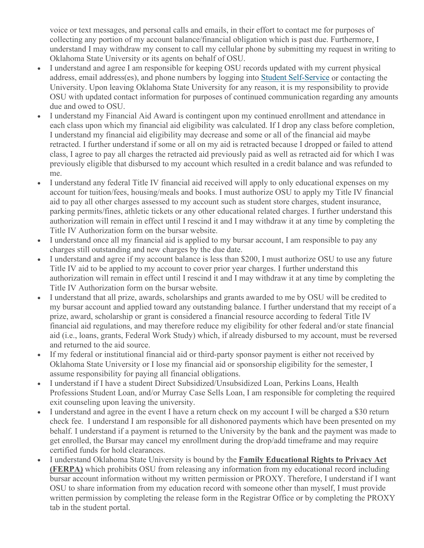voice or text messages, and personal calls and emails, in their effort to contact me for purposes of collecting any portion of my account balance/financial obligation which is past due. Furthermore, I understand I may withdraw my consent to call my cellular phone by submitting my request in writing to Oklahoma State University or its agents on behalf of OSU.

- I understand and agree I am responsible for keeping OSU records updated with my current physical address, email address(es), and phone numbers by logging into [Student Self-Service](http://my.okstate.edu/) or contacting the University. Upon leaving Oklahoma State University for any reason, it is my responsibility to provide OSU with updated contact information for purposes of continued communication regarding any amounts due and owed to OSU.
- I understand my Financial Aid Award is contingent upon my continued enrollment and attendance in each class upon which my financial aid eligibility was calculated. If I drop any class before completion, I understand my financial aid eligibility may decrease and some or all of the financial aid maybe retracted. I further understand if some or all on my aid is retracted because I dropped or failed to attend class, I agree to pay all charges the retracted aid previously paid as well as retracted aid for which I was previously eligible that disbursed to my account which resulted in a credit balance and was refunded to me.
- I understand any federal Title IV financial aid received will apply to only educational expenses on my account for tuition/fees, housing/meals and books. I must authorize OSU to apply my Title IV financial aid to pay all other charges assessed to my account such as student store charges, student insurance, parking permits/fines, athletic tickets or any other educational related charges. I further understand this authorization will remain in effect until I rescind it and I may withdraw it at any time by completing the Title IV Authorization form on the bursar website.
- I understand once all my financial aid is applied to my bursar account, I am responsible to pay any charges still outstanding and new charges by the due date.
- I understand and agree if my account balance is less than \$200, I must authorize OSU to use any future Title IV aid to be applied to my account to cover prior year charges. I further understand this authorization will remain in effect until I rescind it and I may withdraw it at any time by completing the Title IV Authorization form on the bursar website.
- I understand that all prize, awards, scholarships and grants awarded to me by OSU will be credited to my bursar account and applied toward any outstanding balance. I further understand that my receipt of a prize, award, scholarship or grant is considered a financial resource according to federal Title IV financial aid regulations, and may therefore reduce my eligibility for other federal and/or state financial aid (i.e., loans, grants, Federal Work Study) which, if already disbursed to my account, must be reversed and returned to the aid source.
- If my federal or institutional financial aid or third-party sponsor payment is either not received by Oklahoma State University or I lose my financial aid or sponsorship eligibility for the semester, I assume responsibility for paying all financial obligations.
- I understand if I have a student Direct Subsidized/Unsubsidized Loan, Perkins Loans, Health Professions Student Loan, and/or Murray Case Sells Loan, I am responsible for completing the required exit counseling upon leaving the university.
- I understand and agree in the event I have a return check on my account I will be charged a \$30 return check fee. I understand I am responsible for all dishonored payments which have been presented on my behalf. I understand if a payment is returned to the University by the bank and the payment was made to get enrolled, the Bursar may cancel my enrollment during the drop/add timeframe and may require certified funds for hold clearances.
- I understand Oklahoma State University is bound by the **Family Educational Rights to Privacy Act (FERPA)** which prohibits OSU from releasing any information from my educational record including bursar account information without my written permission or PROXY. Therefore, I understand if I want OSU to share information from my education record with someone other than myself, I must provide written permission by completing the release form in the Registrar Office or by completing the PROXY tab in the student portal.